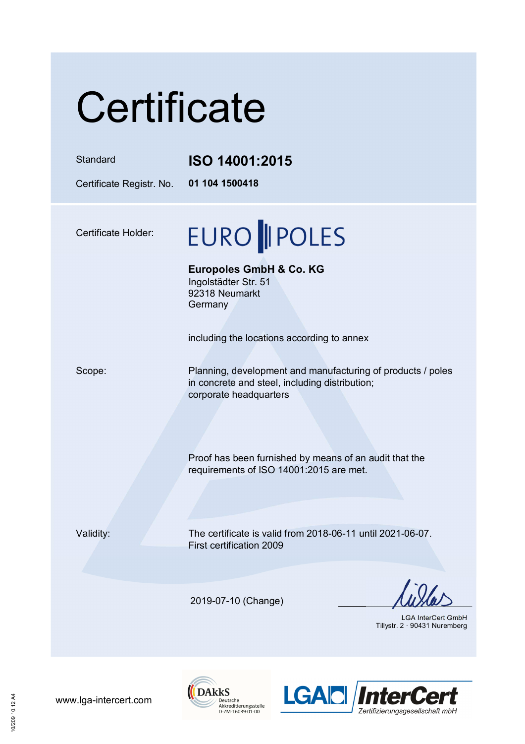# **Certificate**

#### Standard **ISO 14001:2015**

Certificate Registr. No. **01 104 1500418** 

Certificate Holder:

## EURO || POLES

**Europoles GmbH & Co. KG**  Ingolstädter Str. 51 92318 Neumarkt **Germany** 

including the locations according to annex

Scope: Planning, development and manufacturing of products / poles in concrete and steel, including distribution; corporate headquarters

> Proof has been furnished by means of an audit that the requirements of ISO 14001:2015 are met.

Validity: The certificate is valid from 2018-06-11 until 2021-06-07. First certification 2009

2019-07-10 (Change)

LGA InterCert GmbH Tillystr. 2 · 90431 Nuremberg